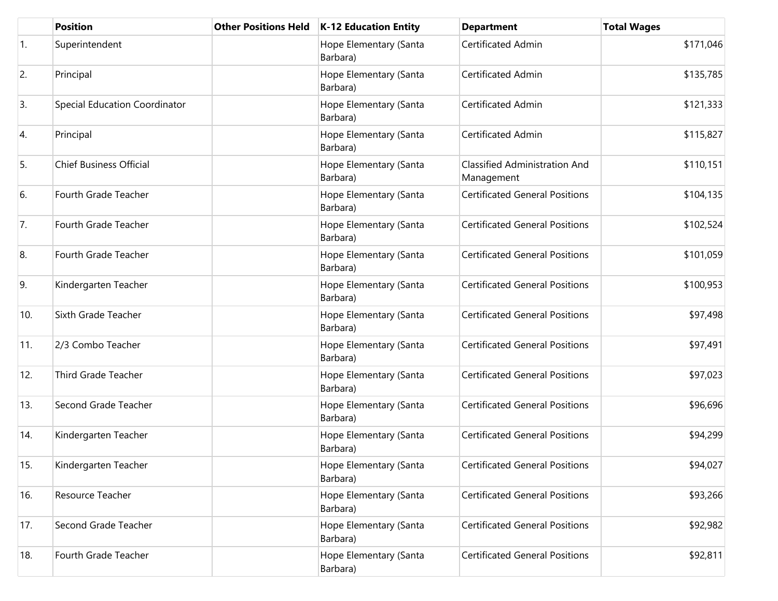|                | <b>Position</b>                | <b>Other Positions Held</b> | <b>K-12 Education Entity</b>       | <b>Department</b>                                  | <b>Total Wages</b> |
|----------------|--------------------------------|-----------------------------|------------------------------------|----------------------------------------------------|--------------------|
| $\mathbf{1}$ . | Superintendent                 |                             | Hope Elementary (Santa<br>Barbara) | Certificated Admin                                 | \$171,046          |
| 2.             | Principal                      |                             | Hope Elementary (Santa<br>Barbara) | Certificated Admin                                 | \$135,785          |
| 3.             | Special Education Coordinator  |                             | Hope Elementary (Santa<br>Barbara) | Certificated Admin                                 | \$121,333          |
| 4.             | Principal                      |                             | Hope Elementary (Santa<br>Barbara) | Certificated Admin                                 | \$115,827          |
| 5.             | <b>Chief Business Official</b> |                             | Hope Elementary (Santa<br>Barbara) | <b>Classified Administration And</b><br>Management | \$110,151          |
| 6.             | Fourth Grade Teacher           |                             | Hope Elementary (Santa<br>Barbara) | <b>Certificated General Positions</b>              | \$104,135          |
| 7.             | Fourth Grade Teacher           |                             | Hope Elementary (Santa<br>Barbara) | <b>Certificated General Positions</b>              | \$102,524          |
| 8.             | Fourth Grade Teacher           |                             | Hope Elementary (Santa<br>Barbara) | <b>Certificated General Positions</b>              | \$101,059          |
| 9.             | Kindergarten Teacher           |                             | Hope Elementary (Santa<br>Barbara) | <b>Certificated General Positions</b>              | \$100,953          |
| 10.            | Sixth Grade Teacher            |                             | Hope Elementary (Santa<br>Barbara) | <b>Certificated General Positions</b>              | \$97,498           |
| 11.            | 2/3 Combo Teacher              |                             | Hope Elementary (Santa<br>Barbara) | <b>Certificated General Positions</b>              | \$97,491           |
| 12.            | Third Grade Teacher            |                             | Hope Elementary (Santa<br>Barbara) | <b>Certificated General Positions</b>              | \$97,023           |
| 13.            | Second Grade Teacher           |                             | Hope Elementary (Santa<br>Barbara) | <b>Certificated General Positions</b>              | \$96,696           |
| 14.            | Kindergarten Teacher           |                             | Hope Elementary (Santa<br>Barbara) | <b>Certificated General Positions</b>              | \$94,299           |
| 15.            | Kindergarten Teacher           |                             | Hope Elementary (Santa<br>Barbara) | <b>Certificated General Positions</b>              | \$94,027           |
| 16.            | Resource Teacher               |                             | Hope Elementary (Santa<br>Barbara) | <b>Certificated General Positions</b>              | \$93,266           |
| 17.            | Second Grade Teacher           |                             | Hope Elementary (Santa<br>Barbara) | <b>Certificated General Positions</b>              | \$92,982           |
| 18.            | Fourth Grade Teacher           |                             | Hope Elementary (Santa<br>Barbara) | <b>Certificated General Positions</b>              | \$92,811           |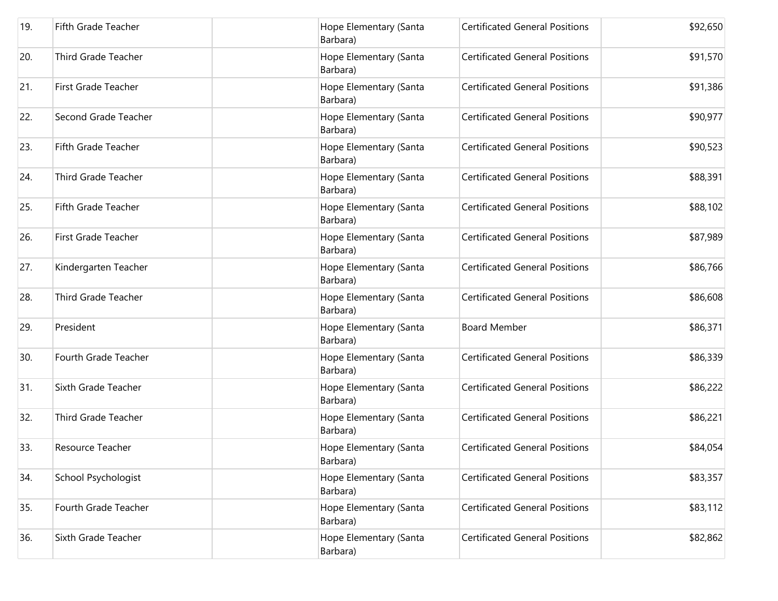| 19. | <b>Fifth Grade Teacher</b> | Hope Elementary (Santa<br>Barbara) | <b>Certificated General Positions</b> | \$92,650 |
|-----|----------------------------|------------------------------------|---------------------------------------|----------|
| 20. | <b>Third Grade Teacher</b> | Hope Elementary (Santa<br>Barbara) | <b>Certificated General Positions</b> | \$91,570 |
| 21. | <b>First Grade Teacher</b> | Hope Elementary (Santa<br>Barbara) | <b>Certificated General Positions</b> | \$91,386 |
| 22. | Second Grade Teacher       | Hope Elementary (Santa<br>Barbara) | <b>Certificated General Positions</b> | \$90,977 |
| 23. | <b>Fifth Grade Teacher</b> | Hope Elementary (Santa<br>Barbara) | <b>Certificated General Positions</b> | \$90,523 |
| 24. | <b>Third Grade Teacher</b> | Hope Elementary (Santa<br>Barbara) | <b>Certificated General Positions</b> | \$88,391 |
| 25. | <b>Fifth Grade Teacher</b> | Hope Elementary (Santa<br>Barbara) | <b>Certificated General Positions</b> | \$88,102 |
| 26. | <b>First Grade Teacher</b> | Hope Elementary (Santa<br>Barbara) | <b>Certificated General Positions</b> | \$87,989 |
| 27. | Kindergarten Teacher       | Hope Elementary (Santa<br>Barbara) | <b>Certificated General Positions</b> | \$86,766 |
| 28. | Third Grade Teacher        | Hope Elementary (Santa<br>Barbara) | <b>Certificated General Positions</b> | \$86,608 |
| 29. | President                  | Hope Elementary (Santa<br>Barbara) | <b>Board Member</b>                   | \$86,371 |
| 30. | Fourth Grade Teacher       | Hope Elementary (Santa<br>Barbara) | <b>Certificated General Positions</b> | \$86,339 |
| 31. | Sixth Grade Teacher        | Hope Elementary (Santa<br>Barbara) | <b>Certificated General Positions</b> | \$86,222 |
| 32. | <b>Third Grade Teacher</b> | Hope Elementary (Santa<br>Barbara) | <b>Certificated General Positions</b> | \$86,221 |
| 33. | Resource Teacher           | Hope Elementary (Santa<br>Barbara) | <b>Certificated General Positions</b> | \$84,054 |
| 34. | School Psychologist        | Hope Elementary (Santa<br>Barbara) | <b>Certificated General Positions</b> | \$83,357 |
| 35. | Fourth Grade Teacher       | Hope Elementary (Santa<br>Barbara) | <b>Certificated General Positions</b> | \$83,112 |
| 36. | Sixth Grade Teacher        | Hope Elementary (Santa<br>Barbara) | <b>Certificated General Positions</b> | \$82,862 |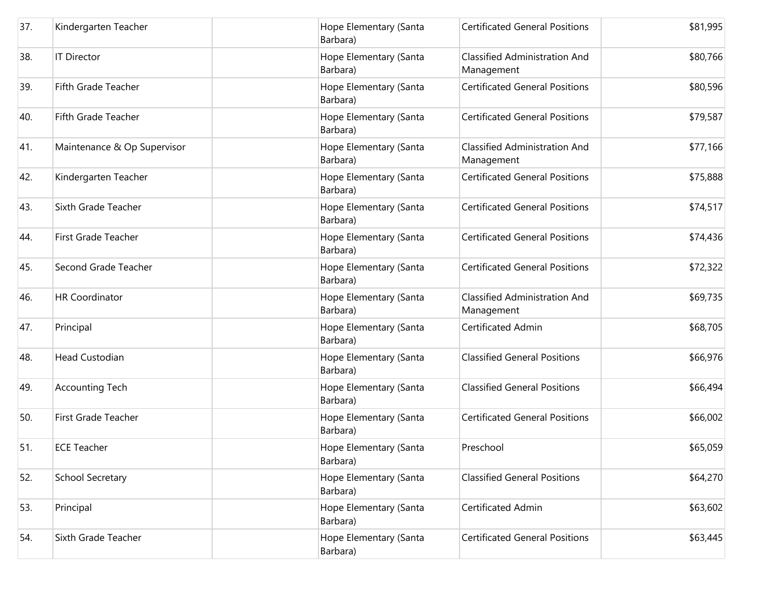| 37. | Kindergarten Teacher        | Hope Elementary (Santa<br>Barbara) | <b>Certificated General Positions</b>              | \$81,995 |
|-----|-----------------------------|------------------------------------|----------------------------------------------------|----------|
| 38. | <b>IT Director</b>          | Hope Elementary (Santa<br>Barbara) | <b>Classified Administration And</b><br>Management | \$80,766 |
| 39. | <b>Fifth Grade Teacher</b>  | Hope Elementary (Santa<br>Barbara) | <b>Certificated General Positions</b>              | \$80,596 |
| 40. | Fifth Grade Teacher         | Hope Elementary (Santa<br>Barbara) | <b>Certificated General Positions</b>              | \$79,587 |
| 41. | Maintenance & Op Supervisor | Hope Elementary (Santa<br>Barbara) | <b>Classified Administration And</b><br>Management | \$77,166 |
| 42. | Kindergarten Teacher        | Hope Elementary (Santa<br>Barbara) | <b>Certificated General Positions</b>              | \$75,888 |
| 43. | Sixth Grade Teacher         | Hope Elementary (Santa<br>Barbara) | <b>Certificated General Positions</b>              | \$74,517 |
| 44. | <b>First Grade Teacher</b>  | Hope Elementary (Santa<br>Barbara) | <b>Certificated General Positions</b>              | \$74,436 |
| 45. | Second Grade Teacher        | Hope Elementary (Santa<br>Barbara) | <b>Certificated General Positions</b>              | \$72,322 |
| 46. | <b>HR Coordinator</b>       | Hope Elementary (Santa<br>Barbara) | <b>Classified Administration And</b><br>Management | \$69,735 |
| 47. | Principal                   | Hope Elementary (Santa<br>Barbara) | Certificated Admin                                 | \$68,705 |
| 48. | <b>Head Custodian</b>       | Hope Elementary (Santa<br>Barbara) | <b>Classified General Positions</b>                | \$66,976 |
| 49. | <b>Accounting Tech</b>      | Hope Elementary (Santa<br>Barbara) | <b>Classified General Positions</b>                | \$66,494 |
| 50. | <b>First Grade Teacher</b>  | Hope Elementary (Santa<br>Barbara) | <b>Certificated General Positions</b>              | \$66,002 |
| 51. | <b>ECE Teacher</b>          | Hope Elementary (Santa<br>Barbara) | Preschool                                          | \$65,059 |
| 52. | <b>School Secretary</b>     | Hope Elementary (Santa<br>Barbara) | <b>Classified General Positions</b>                | \$64,270 |
| 53. | Principal                   | Hope Elementary (Santa<br>Barbara) | Certificated Admin                                 | \$63,602 |
| 54. | Sixth Grade Teacher         | Hope Elementary (Santa<br>Barbara) | <b>Certificated General Positions</b>              | \$63,445 |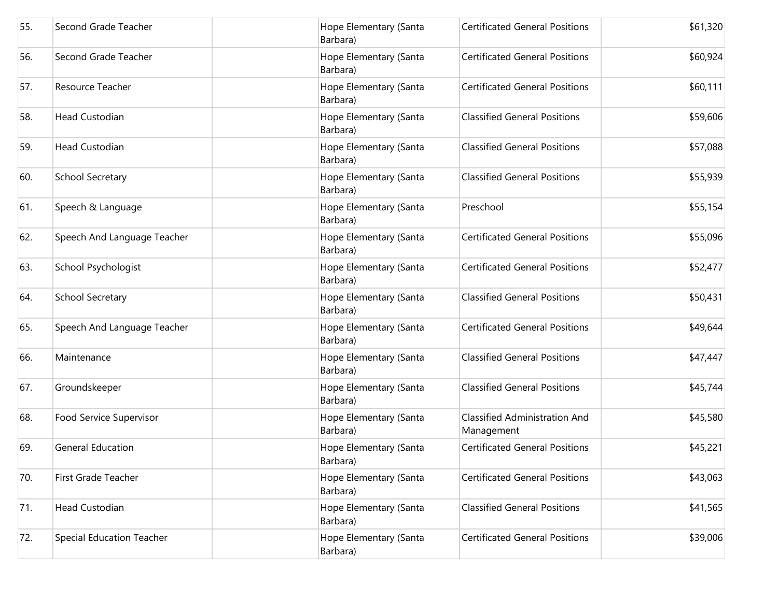| 55. | Second Grade Teacher             | Hope Elementary (Santa<br>Barbara) | <b>Certificated General Positions</b>              | \$61,320 |
|-----|----------------------------------|------------------------------------|----------------------------------------------------|----------|
| 56. | Second Grade Teacher             | Hope Elementary (Santa<br>Barbara) | <b>Certificated General Positions</b>              | \$60,924 |
| 57. | Resource Teacher                 | Hope Elementary (Santa<br>Barbara) | <b>Certificated General Positions</b>              | \$60,111 |
| 58. | <b>Head Custodian</b>            | Hope Elementary (Santa<br>Barbara) | <b>Classified General Positions</b>                | \$59,606 |
| 59. | <b>Head Custodian</b>            | Hope Elementary (Santa<br>Barbara) | <b>Classified General Positions</b>                | \$57,088 |
| 60. | School Secretary                 | Hope Elementary (Santa<br>Barbara) | <b>Classified General Positions</b>                | \$55,939 |
| 61. | Speech & Language                | Hope Elementary (Santa<br>Barbara) | Preschool                                          | \$55,154 |
| 62. | Speech And Language Teacher      | Hope Elementary (Santa<br>Barbara) | <b>Certificated General Positions</b>              | \$55,096 |
| 63. | School Psychologist              | Hope Elementary (Santa<br>Barbara) | <b>Certificated General Positions</b>              | \$52,477 |
| 64. | School Secretary                 | Hope Elementary (Santa<br>Barbara) | <b>Classified General Positions</b>                | \$50,431 |
| 65. | Speech And Language Teacher      | Hope Elementary (Santa<br>Barbara) | <b>Certificated General Positions</b>              | \$49,644 |
| 66. | Maintenance                      | Hope Elementary (Santa<br>Barbara) | <b>Classified General Positions</b>                | \$47,447 |
| 67. | Groundskeeper                    | Hope Elementary (Santa<br>Barbara) | <b>Classified General Positions</b>                | \$45,744 |
| 68. | Food Service Supervisor          | Hope Elementary (Santa<br>Barbara) | <b>Classified Administration And</b><br>Management | \$45,580 |
| 69. | <b>General Education</b>         | Hope Elementary (Santa<br>Barbara) | <b>Certificated General Positions</b>              | \$45,221 |
| 70. | <b>First Grade Teacher</b>       | Hope Elementary (Santa<br>Barbara) | <b>Certificated General Positions</b>              | \$43,063 |
| 71. | <b>Head Custodian</b>            | Hope Elementary (Santa<br>Barbara) | <b>Classified General Positions</b>                | \$41,565 |
| 72. | <b>Special Education Teacher</b> | Hope Elementary (Santa<br>Barbara) | <b>Certificated General Positions</b>              | \$39,006 |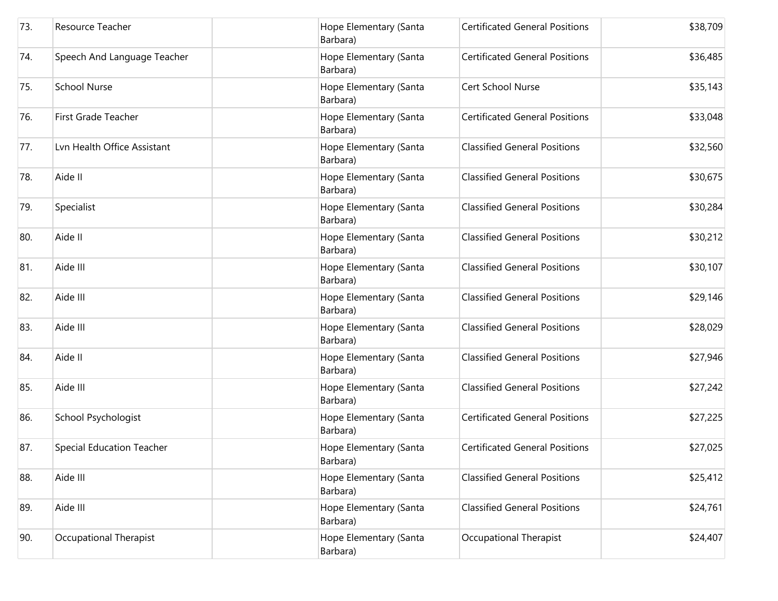| 73. | Resource Teacher                 | Hope Elementary (Santa<br>Barbara) | <b>Certificated General Positions</b> | \$38,709 |
|-----|----------------------------------|------------------------------------|---------------------------------------|----------|
| 74. | Speech And Language Teacher      | Hope Elementary (Santa<br>Barbara) | <b>Certificated General Positions</b> | \$36,485 |
| 75. | <b>School Nurse</b>              | Hope Elementary (Santa<br>Barbara) | Cert School Nurse                     | \$35,143 |
| 76. | <b>First Grade Teacher</b>       | Hope Elementary (Santa<br>Barbara) | <b>Certificated General Positions</b> | \$33,048 |
| 77. | Lvn Health Office Assistant      | Hope Elementary (Santa<br>Barbara) | <b>Classified General Positions</b>   | \$32,560 |
| 78. | Aide II                          | Hope Elementary (Santa<br>Barbara) | <b>Classified General Positions</b>   | \$30,675 |
| 79. | Specialist                       | Hope Elementary (Santa<br>Barbara) | <b>Classified General Positions</b>   | \$30,284 |
| 80. | Aide II                          | Hope Elementary (Santa<br>Barbara) | <b>Classified General Positions</b>   | \$30,212 |
| 81. | Aide III                         | Hope Elementary (Santa<br>Barbara) | <b>Classified General Positions</b>   | \$30,107 |
| 82. | Aide III                         | Hope Elementary (Santa<br>Barbara) | <b>Classified General Positions</b>   | \$29,146 |
| 83. | Aide III                         | Hope Elementary (Santa<br>Barbara) | <b>Classified General Positions</b>   | \$28,029 |
| 84. | Aide II                          | Hope Elementary (Santa<br>Barbara) | <b>Classified General Positions</b>   | \$27,946 |
| 85. | Aide III                         | Hope Elementary (Santa<br>Barbara) | <b>Classified General Positions</b>   | \$27,242 |
| 86. | School Psychologist              | Hope Elementary (Santa<br>Barbara) | <b>Certificated General Positions</b> | \$27,225 |
| 87. | <b>Special Education Teacher</b> | Hope Elementary (Santa<br>Barbara) | <b>Certificated General Positions</b> | \$27,025 |
| 88. | Aide III                         | Hope Elementary (Santa<br>Barbara) | <b>Classified General Positions</b>   | \$25,412 |
| 89. | Aide III                         | Hope Elementary (Santa<br>Barbara) | <b>Classified General Positions</b>   | \$24,761 |
| 90. | Occupational Therapist           | Hope Elementary (Santa<br>Barbara) | Occupational Therapist                | \$24,407 |